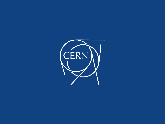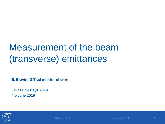### Measurement of the beam (transverse) emittances

**E. Bravin, G.Trad** on behalf of BE-BI

**LHC Lumi Days 2019** 4-5 June 2019

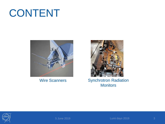## CONTENT





#### Wire Scanners Synchrotron Radiation **Monitors**

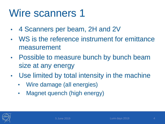## Wire scanners 1

- 4 Scanners per beam, 2H and 2V
- WS is the reference instrument for emittance measurement
- Possible to measure bunch by bunch beam size at any energy
- Use limited by total intensity in the machine
	- Wire damage (all energies)
	- Magnet quench (high energy)

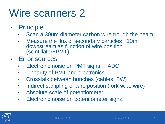## Wire scanners 2

- Principle
	- Scan a 30um diameter carbon wire trough the beam
	- Measure the flux of secondary particles ~10m downstream as function of wire position (scintillator+PMT)
- Error sources
	- Electronic noise on PMT signal + ADC
	- Linearity of PMT and electronics
	- Crosstalk between bunches (cables, BW)
	- Indirect sampling of wire position (fork w.r.t. wire)
	- Absolute scale of potentiometer
	- Electronic noise on potentiometer signal

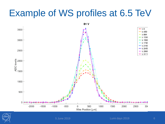### Example of WS profiles at 6.5 TeV



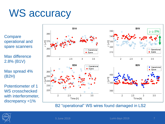## WS accuracy

**Compare** operational and spare scanners

Max difference 2.8% (B1V)

Max spread 4% (B2H)

Potentiometer of 1 WS crosschecked with interferometer, discrepancy <1%



B2 "operational" WS wires found damaged in LS2

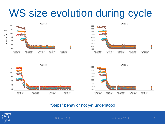## WS size evolution during cycle









#### "Steps" behavior not yet understood

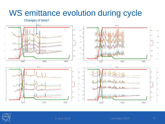#### WS emittance evolution during cycle



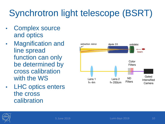## Synchrotron light telescope (BSRT)

- Complex source and optics
- **Magnification and** line spread function can only be determined by cross calibration with the WS
- **LHC optics enters** the cross calibration



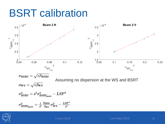## BSRT calibration



$$
\sigma_{BSRT}=\sqrt{\varepsilon\beta_{BSRT}}
$$

Assuming no dispersion at the WS and BSRT

$$
\sigma_{WS}=\sqrt{\varepsilon\beta_{WS}}
$$

$$
\sigma_{BSRT}^2 = s^2 \sigma_{BSRT_{pixels}}^2 - L S F^2
$$

$$
\sigma_{BSRT_{pixels}}^2 = \tfrac{1}{s^2} \tfrac{\beta_{BSRT}}{\beta_{WS}} \sigma_{WS}^2 - \tfrac{LSF^2}{s^2}
$$

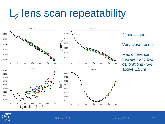# L<sub>2</sub> lens scan repeatability



4 lens scans

Very close results

Max difference between any two calibrations <5% above 1.5um

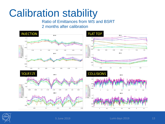## Calibration stability

Ratio of Emittances from WS and BSRT 2 months after calibration



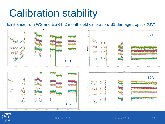## Calibration stability

Emittance from WS and BSRT, 2 months old calibration, B1 damaged optics (UV)



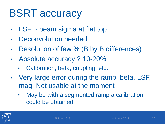## BSRT accuracy

- $LSF \sim$  beam sigma at flat top
- Deconvolution needed
- Resolution of few % (B by B differences)
- Absolute accuracy ? 10-20%
	- Calibration, beta, coupling, etc.
- Very large error during the ramp: beta, LSF, mag. Not usable at the moment
	- May be with a segmented ramp a calibration could be obtained

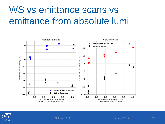## WS vs emittance scans vs emittance from absolute lumi